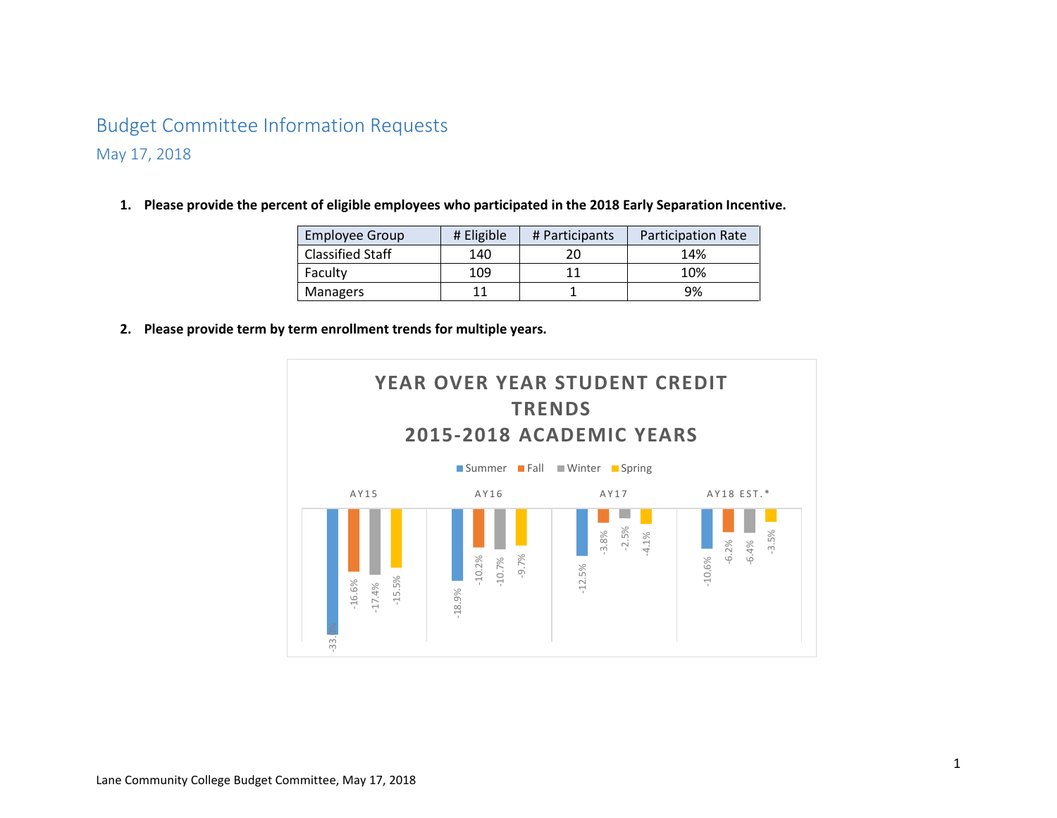# Budget Committee Information Requests May 17, 2018

**1. Please provide the percent of eligible employees who participated in the 2018 Early Separation Incentive.** 

| <b>Employee Group</b>   | # Eligible | # Participants | <b>Participation Rate</b> |
|-------------------------|------------|----------------|---------------------------|
| <b>Classified Staff</b> | 140        | 20             | 14%                       |
| Faculty                 | 109        |                | 10%                       |
| <b>Managers</b>         |            |                | 9%                        |

**2. Please provide term by term enrollment trends for multiple years.** 

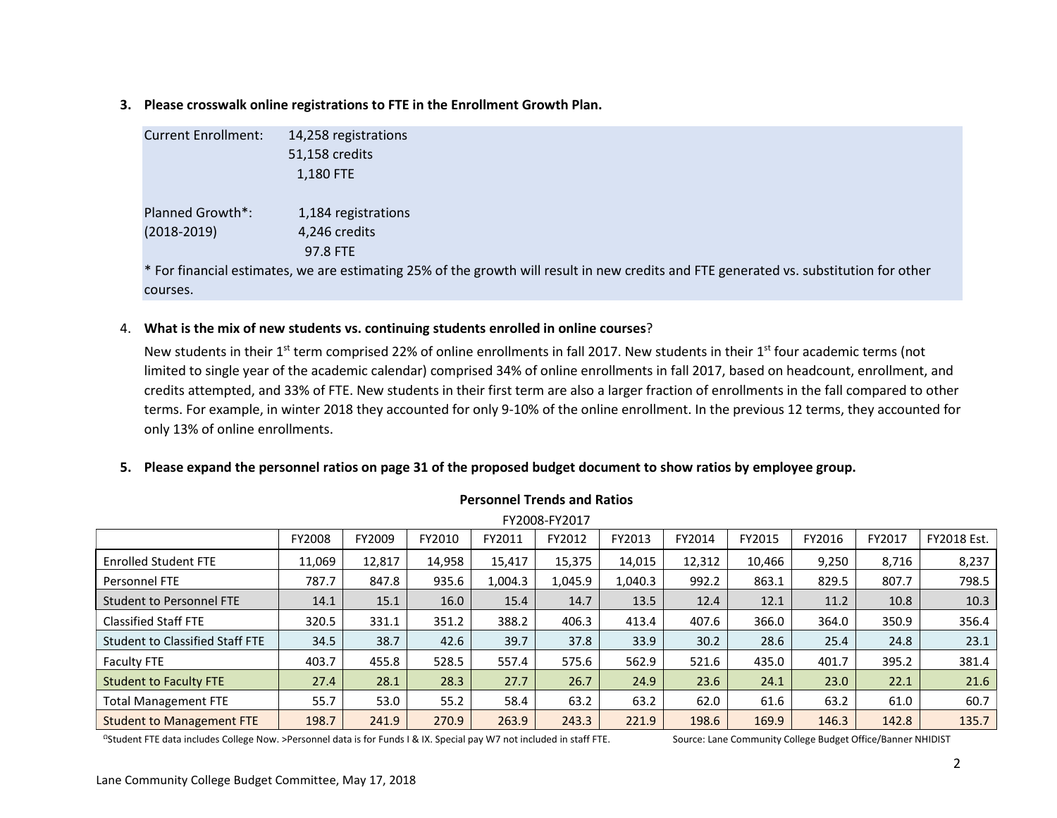**3. Please crosswalk online registrations to FTE in the Enrollment Growth Plan.** 

| <b>Current Enrollment:</b> | 14,258 registrations                                                                                                                   |
|----------------------------|----------------------------------------------------------------------------------------------------------------------------------------|
|                            | 51,158 credits                                                                                                                         |
|                            | 1,180 FTE                                                                                                                              |
|                            |                                                                                                                                        |
| Planned Growth*:           | 1,184 registrations                                                                                                                    |
| $(2018-2019)$              | 4,246 credits                                                                                                                          |
|                            | 97.8 FTE                                                                                                                               |
|                            | * For financial estimates, we are estimating 25% of the growth will result in new credits and FTE generated vs. substitution for other |
| courses.                   |                                                                                                                                        |
|                            |                                                                                                                                        |

## 4. **What is the mix of new students vs. continuing students enrolled in online courses**?

New students in their 1<sup>st</sup> term comprised 22% of online enrollments in fall 2017. New students in their 1<sup>st</sup> four academic terms (not limited to single year of the academic calendar) comprised 34% of online enrollments in fall 2017, based on headcount, enrollment, and credits attempted, and 33% of FTE. New students in their first term are also a larger fraction of enrollments in the fall compared to other terms. For example, in winter 2018 they accounted for only 9-10% of the online enrollment. In the previous 12 terms, they accounted for only 13% of online enrollments.

**5. Please expand the personnel ratios on page 31 of the proposed budget document to show ratios by employee group.** 

| FY2008-FY2017                                                                                    |        |        |        |         |         |         |        |        |       |       |             |
|--------------------------------------------------------------------------------------------------|--------|--------|--------|---------|---------|---------|--------|--------|-------|-------|-------------|
| FY2009<br>FY2014<br>FY2015<br>FY2016<br>FY2017<br>FY2008<br>FY2010<br>FY2011<br>FY2012<br>FY2013 |        |        |        |         |         |         |        |        |       |       | FY2018 Est. |
| <b>Enrolled Student FTE</b>                                                                      | 11,069 | 12,817 | 14,958 | 15,417  | 15,375  | 14,015  | 12,312 | 10,466 | 9,250 | 8,716 | 8,237       |
| Personnel FTE                                                                                    | 787.7  | 847.8  | 935.6  | 1,004.3 | 1,045.9 | 1,040.3 | 992.2  | 863.1  | 829.5 | 807.7 | 798.5       |
| <b>Student to Personnel FTE</b>                                                                  | 14.1   | 15.1   | 16.0   | 15.4    | 14.7    | 13.5    | 12.4   | 12.1   | 11.2  | 10.8  | 10.3        |
| <b>Classified Staff FTE</b>                                                                      | 320.5  | 331.1  | 351.2  | 388.2   | 406.3   | 413.4   | 407.6  | 366.0  | 364.0 | 350.9 | 356.4       |
| <b>Student to Classified Staff FTE</b>                                                           | 34.5   | 38.7   | 42.6   | 39.7    | 37.8    | 33.9    | 30.2   | 28.6   | 25.4  | 24.8  | 23.1        |
| <b>Faculty FTE</b>                                                                               | 403.7  | 455.8  | 528.5  | 557.4   | 575.6   | 562.9   | 521.6  | 435.0  | 401.7 | 395.2 | 381.4       |
| <b>Student to Faculty FTE</b>                                                                    | 27.4   | 28.1   | 28.3   | 27.7    | 26.7    | 24.9    | 23.6   | 24.1   | 23.0  | 22.1  | 21.6        |
| <b>Total Management FTE</b>                                                                      | 55.7   | 53.0   | 55.2   | 58.4    | 63.2    | 63.2    | 62.0   | 61.6   | 63.2  | 61.0  | 60.7        |
| <b>Student to Management FTE</b>                                                                 | 198.7  | 241.9  | 270.9  | 263.9   | 243.3   | 221.9   | 198.6  | 169.9  | 146.3 | 142.8 | 135.7       |

## **Personnel Trends and Ratios**

<sup>Ω</sup>Student FTE data includes College Now. >Personnel data is for Funds I & IX. Special pay W7 not included in staff FTE. Source: Lane Community College Budget Office/Banner NHIDIST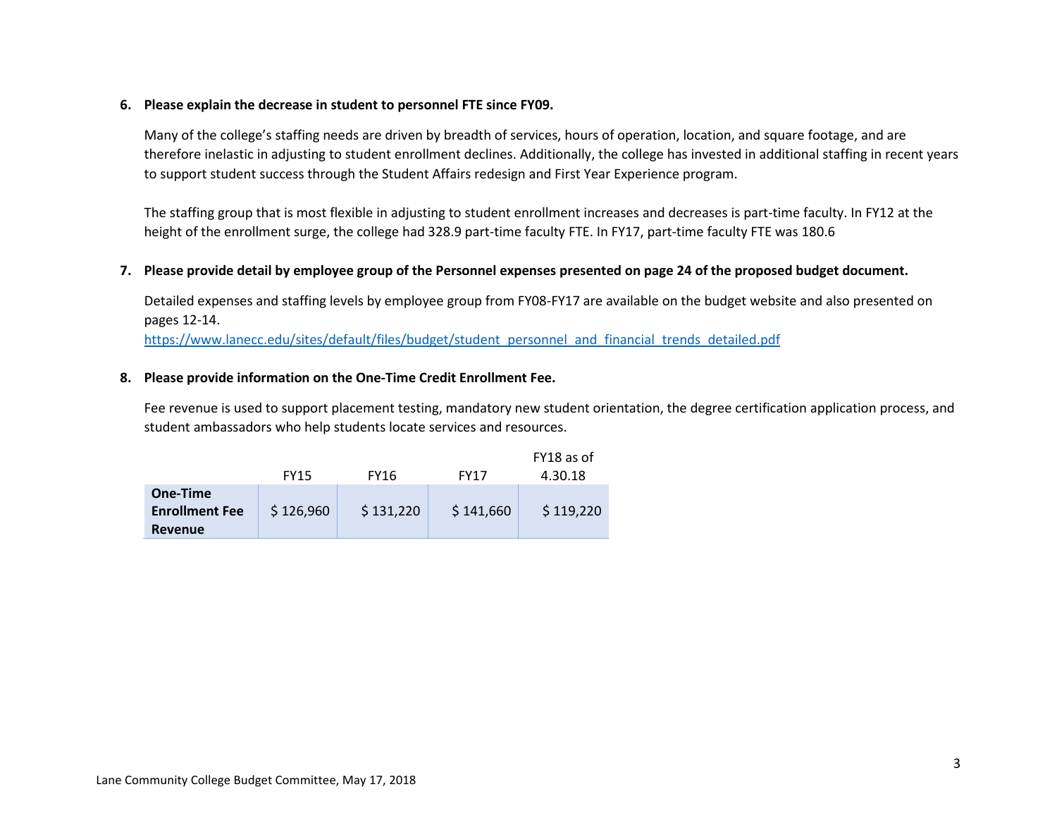## **6. Please explain the decrease in student to personnel FTE since FY09.**

Many of the college's staffing needs are driven by breadth of services, hours of operation, location, and square footage, and are therefore inelastic in adjusting to student enrollment declines. Additionally, the college has invested in additional staffing in recent years to support student success through the Student Affairs redesign and First Year Experience program.

The staffing group that is most flexible in adjusting to student enrollment increases and decreases is part-time faculty. In FY12 at the height of the enrollment surge, the college had 328.9 part-time faculty FTE. In FY17, part-time faculty FTE was 180.6

## **7. Please provide detail by employee group of the Personnel expenses presented on page 24 of the proposed budget document.**

Detailed expenses and staffing levels by employee group from FY08-FY17 are available on the budget website and also presented on pages 12-14.

[https://www.lanecc.edu/sites/default/files/budget/student\\_personnel\\_and\\_financial\\_trends\\_detailed.pdf](https://www.lanecc.edu/sites/default/files/budget/student_personnel_and_financial_trends_detailed.pdf)

### **8. Please provide information on the One-Time Credit Enrollment Fee.**

Fee revenue is used to support placement testing, mandatory new student orientation, the degree certification application process, and student ambassadors who help students locate services and resources.

|                                  |             |             |             | FY18 as of |
|----------------------------------|-------------|-------------|-------------|------------|
|                                  | <b>FY15</b> | <b>FY16</b> | <b>FY17</b> | 4.30.18    |
| One-Time                         |             |             |             |            |
| <b>Enrollment Fee</b><br>Revenue | \$126,960   | \$131,220   | \$141,660   | \$119,220  |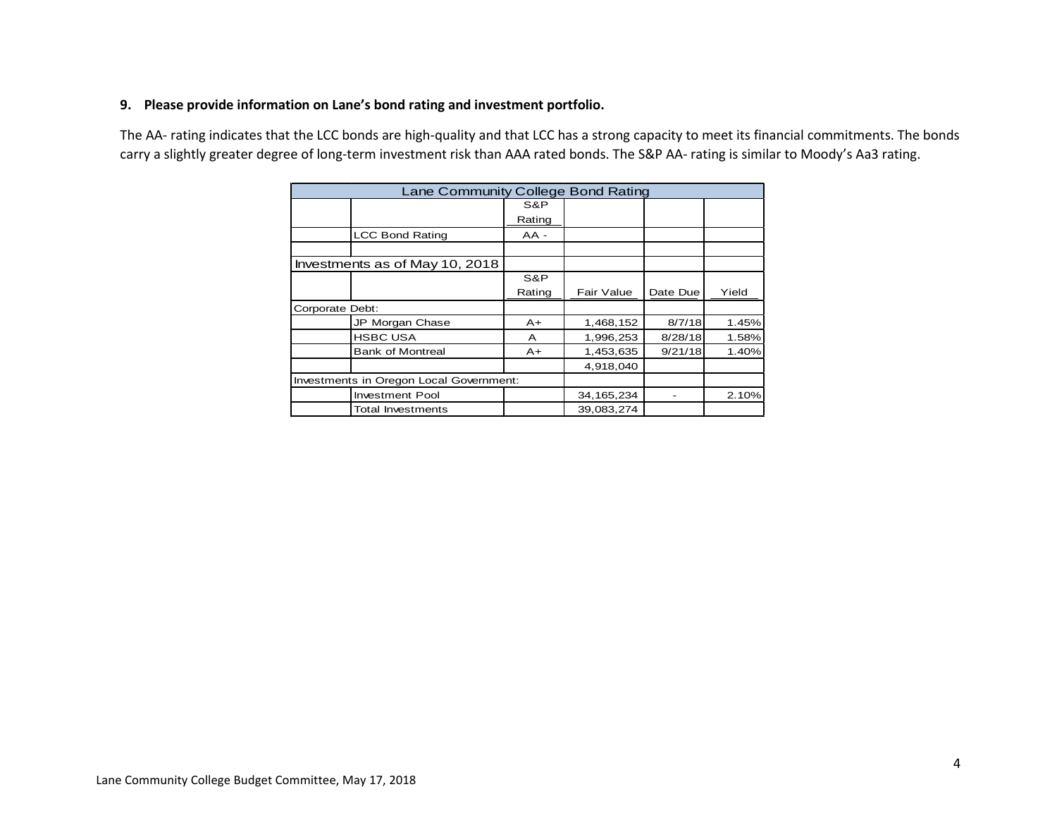## **9. Please provide information on Lane's bond rating and investment portfolio.**

The AA- rating indicates that the LCC bonds are high-quality and that LCC has a strong capacity to meet its financial commitments. The bonds carry a slightly greater degree of long-term investment risk than AAA rated bonds. The S&P AA- rating is similar to Moody's Aa3 rating.

| Lane Community College Bond Rating      |        |              |          |       |  |  |  |  |  |  |
|-----------------------------------------|--------|--------------|----------|-------|--|--|--|--|--|--|
|                                         | S&P    |              |          |       |  |  |  |  |  |  |
|                                         | Rating |              |          |       |  |  |  |  |  |  |
| <b>LCC Bond Rating</b>                  | $AA -$ |              |          |       |  |  |  |  |  |  |
| Investments as of May 10, 2018          |        |              |          |       |  |  |  |  |  |  |
|                                         | S&P    |              |          |       |  |  |  |  |  |  |
|                                         | Rating | Fair Value   | Date Due | Yield |  |  |  |  |  |  |
| Corporate Debt:                         |        |              |          |       |  |  |  |  |  |  |
| JP Morgan Chase                         | $A+$   | 1,468,152    | 8/7/18   | 1.45% |  |  |  |  |  |  |
| <b>HSBC USA</b>                         | A      | 1,996,253    | 8/28/18  | 1.58% |  |  |  |  |  |  |
| <b>Bank of Montreal</b>                 | $A+$   | 1,453,635    | 9/21/18  | 1.40% |  |  |  |  |  |  |
|                                         |        | 4,918,040    |          |       |  |  |  |  |  |  |
| Investments in Oregon Local Government: |        |              |          |       |  |  |  |  |  |  |
| <b>Investment Pool</b>                  |        | 34, 165, 234 |          | 2.10% |  |  |  |  |  |  |
| Total Investments                       |        | 39,083,274   |          |       |  |  |  |  |  |  |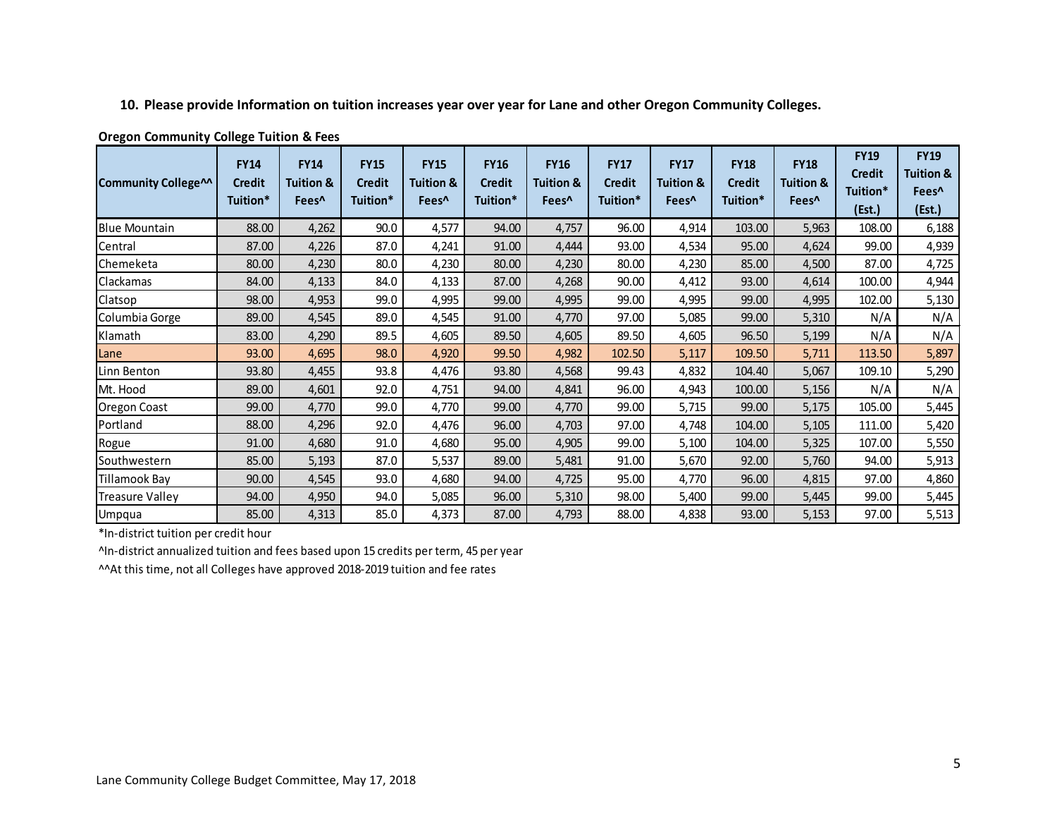## **10. Please provide Information on tuition increases year over year for Lane and other Oregon Community Colleges.**

| <b>Community College^^</b> | <b>FY14</b><br><b>Credit</b><br>Tuition* | <b>FY14</b><br>Tuition &<br>Fees <sup>^</sup> | <b>FY15</b><br><b>Credit</b><br>Tuition* | <b>FY15</b><br><b>Tuition &amp;</b><br>Fees <sup>^</sup> | <b>FY16</b><br><b>Credit</b><br>Tuition* | <b>FY16</b><br>Tuition &<br>Fees <sup>^</sup> | <b>FY17</b><br><b>Credit</b><br>Tuition* | <b>FY17</b><br><b>Tuition &amp;</b><br>Fees <sup>^</sup> | <b>FY18</b><br><b>Credit</b><br>Tuition* | <b>FY18</b><br>Tuition &<br>Fees <sup>^</sup> | <b>FY19</b><br><b>Credit</b><br>Tuition*<br>(Est.) | <b>FY19</b><br><b>Tuition &amp;</b><br>Fees <sup>^</sup><br>(Est.) |
|----------------------------|------------------------------------------|-----------------------------------------------|------------------------------------------|----------------------------------------------------------|------------------------------------------|-----------------------------------------------|------------------------------------------|----------------------------------------------------------|------------------------------------------|-----------------------------------------------|----------------------------------------------------|--------------------------------------------------------------------|
| <b>Blue Mountain</b>       | 88.00                                    | 4,262                                         | 90.0                                     | 4,577                                                    | 94.00                                    | 4,757                                         | 96.00                                    | 4,914                                                    | 103.00                                   | 5,963                                         | 108.00                                             | 6,188                                                              |
| Central                    | 87.00                                    | 4,226                                         | 87.0                                     | 4,241                                                    | 91.00                                    | 4,444                                         | 93.00                                    | 4,534                                                    | 95.00                                    | 4,624                                         | 99.00                                              | 4,939                                                              |
| Chemeketa                  | 80.00                                    | 4,230                                         | 80.0                                     | 4,230                                                    | 80.00                                    | 4,230                                         | 80.00                                    | 4,230                                                    | 85.00                                    | 4,500                                         | 87.00                                              | 4,725                                                              |
| Clackamas                  | 84.00                                    | 4,133                                         | 84.0                                     | 4,133                                                    | 87.00                                    | 4,268                                         | 90.00                                    | 4,412                                                    | 93.00                                    | 4,614                                         | 100.00                                             | 4,944                                                              |
| Clatsop                    | 98.00                                    | 4,953                                         | 99.0                                     | 4,995                                                    | 99.00                                    | 4,995                                         | 99.00                                    | 4,995                                                    | 99.00                                    | 4,995                                         | 102.00                                             | 5,130                                                              |
| Columbia Gorge             | 89.00                                    | 4,545                                         | 89.0                                     | 4,545                                                    | 91.00                                    | 4,770                                         | 97.00                                    | 5,085                                                    | 99.00                                    | 5,310                                         | N/A                                                | N/A                                                                |
| Klamath                    | 83.00                                    | 4,290                                         | 89.5                                     | 4,605                                                    | 89.50                                    | 4,605                                         | 89.50                                    | 4,605                                                    | 96.50                                    | 5,199                                         | N/A                                                | N/A                                                                |
| Lane                       | 93.00                                    | 4,695                                         | 98.0                                     | 4,920                                                    | 99.50                                    | 4,982                                         | 102.50                                   | 5,117                                                    | 109.50                                   | 5,711                                         | 113.50                                             | 5,897                                                              |
| Linn Benton                | 93.80                                    | 4,455                                         | 93.8                                     | 4,476                                                    | 93.80                                    | 4,568                                         | 99.43                                    | 4,832                                                    | 104.40                                   | 5,067                                         | 109.10                                             | 5,290                                                              |
| Mt. Hood                   | 89.00                                    | 4,601                                         | 92.0                                     | 4,751                                                    | 94.00                                    | 4,841                                         | 96.00                                    | 4,943                                                    | 100.00                                   | 5,156                                         | N/A                                                | N/A                                                                |
| <b>Oregon Coast</b>        | 99.00                                    | 4,770                                         | 99.0                                     | 4,770                                                    | 99.00                                    | 4,770                                         | 99.00                                    | 5,715                                                    | 99.00                                    | 5,175                                         | 105.00                                             | 5,445                                                              |
| Portland                   | 88.00                                    | 4,296                                         | 92.0                                     | 4,476                                                    | 96.00                                    | 4,703                                         | 97.00                                    | 4,748                                                    | 104.00                                   | 5,105                                         | 111.00                                             | 5,420                                                              |
| Rogue                      | 91.00                                    | 4,680                                         | 91.0                                     | 4,680                                                    | 95.00                                    | 4,905                                         | 99.00                                    | 5,100                                                    | 104.00                                   | 5,325                                         | 107.00                                             | 5,550                                                              |
| Southwestern               | 85.00                                    | 5,193                                         | 87.0                                     | 5,537                                                    | 89.00                                    | 5,481                                         | 91.00                                    | 5,670                                                    | 92.00                                    | 5,760                                         | 94.00                                              | 5,913                                                              |
| Tillamook Bay              | 90.00                                    | 4,545                                         | 93.0                                     | 4,680                                                    | 94.00                                    | 4,725                                         | 95.00                                    | 4,770                                                    | 96.00                                    | 4,815                                         | 97.00                                              | 4,860                                                              |
| <b>Treasure Valley</b>     | 94.00                                    | 4,950                                         | 94.0                                     | 5,085                                                    | 96.00                                    | 5,310                                         | 98.00                                    | 5,400                                                    | 99.00                                    | 5,445                                         | 99.00                                              | 5,445                                                              |
| Umpqua                     | 85.00                                    | 4,313                                         | 85.0                                     | 4,373                                                    | 87.00                                    | 4,793                                         | 88.00                                    | 4,838                                                    | 93.00                                    | 5,153                                         | 97.00                                              | 5,513                                                              |

## **Oregon Community College Tuition & Fees**

\*In-district tuition per credit hour

^In-district annualized tuition and fees based upon 15 credits per term, 45 per year

^^At this time, not all Colleges have approved 2018-2019 tuition and fee rates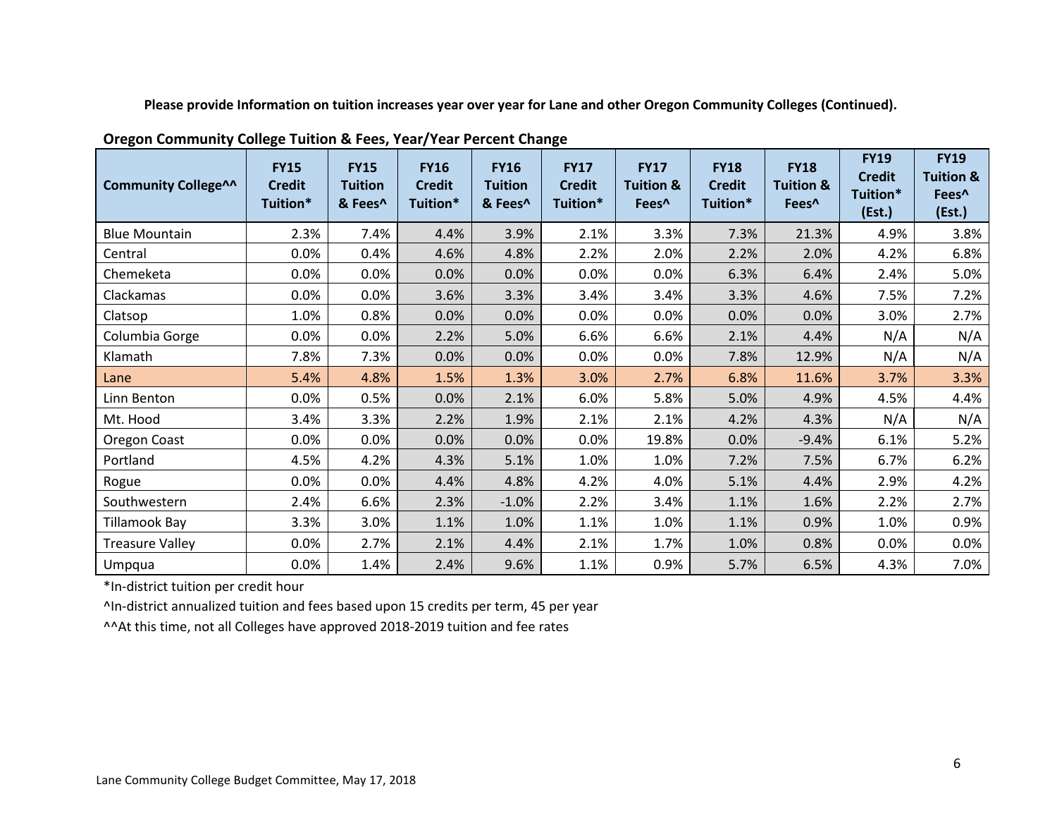**Please provide Information on tuition increases year over year for Lane and other Oregon Community Colleges (Continued).**

| <b>Community College^^</b> | <b>FY15</b><br><b>Credit</b><br>Tuition* | <b>FY15</b><br><b>Tuition</b><br>& Fees^ | <b>FY16</b><br><b>Credit</b><br>Tuition* | <b>FY16</b><br><b>Tuition</b><br>& Fees^ | <b>FY17</b><br><b>Credit</b><br>Tuition* | <b>FY17</b><br><b>Tuition &amp;</b><br>Fees <sup>^</sup> | <b>FY18</b><br><b>Credit</b><br>Tuition* | <b>FY18</b><br><b>Tuition &amp;</b><br>Fees <sup>^</sup> | <b>FY19</b><br><b>Credit</b><br>Tuition*<br>(Est.) | <b>FY19</b><br><b>Tuition &amp;</b><br>Fees^<br>(Est.) |
|----------------------------|------------------------------------------|------------------------------------------|------------------------------------------|------------------------------------------|------------------------------------------|----------------------------------------------------------|------------------------------------------|----------------------------------------------------------|----------------------------------------------------|--------------------------------------------------------|
| <b>Blue Mountain</b>       | 2.3%                                     | 7.4%                                     | 4.4%                                     | 3.9%                                     | 2.1%                                     | 3.3%                                                     | 7.3%                                     | 21.3%                                                    | 4.9%                                               | 3.8%                                                   |
| Central                    | 0.0%                                     | 0.4%                                     | 4.6%                                     | 4.8%                                     | 2.2%                                     | 2.0%                                                     | 2.2%                                     | 2.0%                                                     | 4.2%                                               | 6.8%                                                   |
| Chemeketa                  | 0.0%                                     | 0.0%                                     | 0.0%                                     | 0.0%                                     | 0.0%                                     | 0.0%                                                     | 6.3%                                     | 6.4%                                                     | 2.4%                                               | 5.0%                                                   |
| Clackamas                  | 0.0%                                     | 0.0%                                     | 3.6%                                     | 3.3%                                     | 3.4%                                     | 3.4%                                                     | 3.3%                                     | 4.6%                                                     | 7.5%                                               | 7.2%                                                   |
| Clatsop                    | 1.0%                                     | 0.8%                                     | 0.0%                                     | 0.0%                                     | 0.0%                                     | 0.0%                                                     | 0.0%                                     | 0.0%                                                     | 3.0%                                               | 2.7%                                                   |
| Columbia Gorge             | 0.0%                                     | 0.0%                                     | 2.2%                                     | 5.0%                                     | 6.6%                                     | 6.6%                                                     | 2.1%                                     | 4.4%                                                     | N/A                                                | N/A                                                    |
| Klamath                    | 7.8%                                     | 7.3%                                     | 0.0%                                     | 0.0%                                     | 0.0%                                     | 0.0%                                                     | 7.8%                                     | 12.9%                                                    | N/A                                                | N/A                                                    |
| Lane                       | 5.4%                                     | 4.8%                                     | 1.5%                                     | 1.3%                                     | 3.0%                                     | 2.7%                                                     | 6.8%                                     | 11.6%                                                    | 3.7%                                               | 3.3%                                                   |
| Linn Benton                | 0.0%                                     | 0.5%                                     | 0.0%                                     | 2.1%                                     | 6.0%                                     | 5.8%                                                     | 5.0%                                     | 4.9%                                                     | 4.5%                                               | 4.4%                                                   |
| Mt. Hood                   | 3.4%                                     | 3.3%                                     | 2.2%                                     | 1.9%                                     | 2.1%                                     | 2.1%                                                     | 4.2%                                     | 4.3%                                                     | N/A                                                | N/A                                                    |
| Oregon Coast               | 0.0%                                     | 0.0%                                     | 0.0%                                     | 0.0%                                     | 0.0%                                     | 19.8%                                                    | 0.0%                                     | $-9.4%$                                                  | 6.1%                                               | 5.2%                                                   |
| Portland                   | 4.5%                                     | 4.2%                                     | 4.3%                                     | 5.1%                                     | 1.0%                                     | 1.0%                                                     | 7.2%                                     | 7.5%                                                     | 6.7%                                               | 6.2%                                                   |
| Rogue                      | 0.0%                                     | 0.0%                                     | 4.4%                                     | 4.8%                                     | 4.2%                                     | 4.0%                                                     | 5.1%                                     | 4.4%                                                     | 2.9%                                               | 4.2%                                                   |
| Southwestern               | 2.4%                                     | 6.6%                                     | 2.3%                                     | $-1.0%$                                  | 2.2%                                     | 3.4%                                                     | 1.1%                                     | 1.6%                                                     | 2.2%                                               | 2.7%                                                   |
| Tillamook Bay              | 3.3%                                     | 3.0%                                     | 1.1%                                     | 1.0%                                     | 1.1%                                     | 1.0%                                                     | 1.1%                                     | 0.9%                                                     | 1.0%                                               | 0.9%                                                   |
| <b>Treasure Valley</b>     | 0.0%                                     | 2.7%                                     | 2.1%                                     | 4.4%                                     | 2.1%                                     | 1.7%                                                     | 1.0%                                     | 0.8%                                                     | 0.0%                                               | 0.0%                                                   |
| Umpqua                     | 0.0%                                     | 1.4%                                     | 2.4%                                     | 9.6%                                     | 1.1%                                     | 0.9%                                                     | 5.7%                                     | 6.5%                                                     | 4.3%                                               | 7.0%                                                   |

**Oregon Community College Tuition & Fees, Year/Year Percent Change**

\*In-district tuition per credit hour

^In-district annualized tuition and fees based upon 15 credits per term, 45 per year

^^At this time, not all Colleges have approved 2018-2019 tuition and fee rates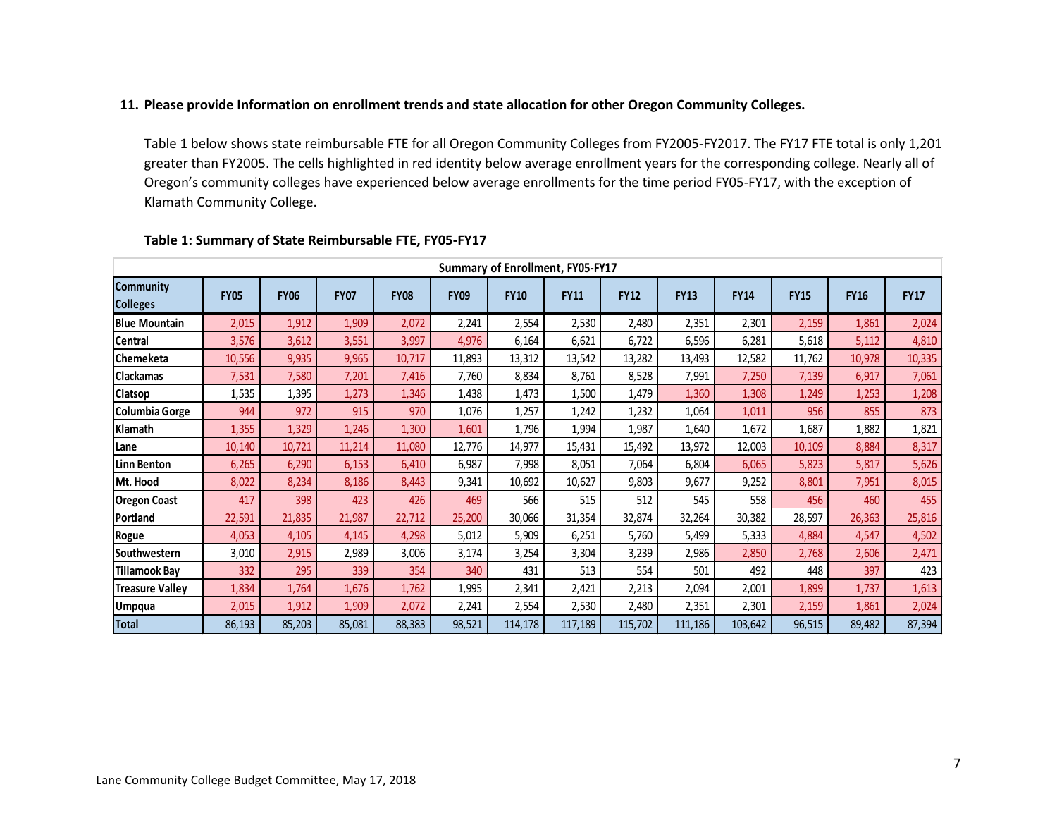## **11. Please provide Information on enrollment trends and state allocation for other Oregon Community Colleges.**

Table 1 below shows state reimbursable FTE for all Oregon Community Colleges from FY2005-FY2017. The FY17 FTE total is only 1,201 greater than FY2005. The cells highlighted in red identity below average enrollment years for the corresponding college. Nearly all of Oregon's community colleges have experienced below average enrollments for the time period FY05-FY17, with the exception of Klamath Community College.

|                                     | Summary of Enrollment, FY05-FY17 |             |             |             |             |             |             |             |             |             |             |             |             |
|-------------------------------------|----------------------------------|-------------|-------------|-------------|-------------|-------------|-------------|-------------|-------------|-------------|-------------|-------------|-------------|
| <b>Community</b><br><b>Colleges</b> | <b>FY05</b>                      | <b>FY06</b> | <b>FY07</b> | <b>FY08</b> | <b>FY09</b> | <b>FY10</b> | <b>FY11</b> | <b>FY12</b> | <b>FY13</b> | <b>FY14</b> | <b>FY15</b> | <b>FY16</b> | <b>FY17</b> |
| <b>Blue Mountain</b>                | 2,015                            | 1,912       | 1,909       | 2,072       | 2,241       | 2,554       | 2,530       | 2,480       | 2,351       | 2,301       | 2,159       | 1,861       | 2,024       |
| Central                             | 3,576                            | 3,612       | 3,551       | 3,997       | 4,976       | 6,164       | 6,621       | 6,722       | 6,596       | 6,281       | 5,618       | 5,112       | 4,810       |
| <b>Chemeketa</b>                    | 10,556                           | 9,935       | 9,965       | 10,717      | 11,893      | 13,312      | 13,542      | 13,282      | 13,493      | 12,582      | 11,762      | 10,978      | 10,335      |
| <b>Clackamas</b>                    | 7,531                            | 7,580       | 7,201       | 7,416       | 7,760       | 8,834       | 8,761       | 8,528       | 7,991       | 7,250       | 7,139       | 6,917       | 7,061       |
| Clatsop                             | 1,535                            | 1,395       | 1,273       | 1,346       | 1,438       | 1,473       | 1,500       | 1,479       | 1,360       | 1,308       | 1,249       | 1,253       | 1,208       |
| Columbia Gorge                      | 944                              | 972         | 915         | 970         | 1,076       | 1,257       | 1,242       | 1,232       | 1,064       | 1,011       | 956         | 855         | 873         |
| Klamath                             | 1,355                            | 1,329       | 1,246       | 1,300       | 1,601       | 1,796       | 1,994       | 1,987       | 1,640       | 1,672       | 1,687       | 1,882       | 1,821       |
| Lane                                | 10,140                           | 10,721      | 11,214      | 11,080      | 12,776      | 14,977      | 15,431      | 15,492      | 13,972      | 12,003      | 10,109      | 8,884       | 8,317       |
| <b>Linn Benton</b>                  | 6,265                            | 6,290       | 6,153       | 6,410       | 6,987       | 7,998       | 8,051       | 7,064       | 6,804       | 6,065       | 5,823       | 5,817       | 5,626       |
| Mt. Hood                            | 8,022                            | 8,234       | 8,186       | 8,443       | 9,341       | 10,692      | 10,627      | 9,803       | 9,677       | 9,252       | 8,801       | 7,951       | 8,015       |
| <b>Oregon Coast</b>                 | 417                              | 398         | 423         | 426         | 469         | 566         | 515         | 512         | 545         | 558         | 456         | 460         | 455         |
| Portland                            | 22,591                           | 21,835      | 21,987      | 22,712      | 25,200      | 30,066      | 31,354      | 32,874      | 32,264      | 30,382      | 28,597      | 26,363      | 25,816      |
| Rogue                               | 4,053                            | 4,105       | 4,145       | 4,298       | 5,012       | 5,909       | 6,251       | 5,760       | 5,499       | 5,333       | 4,884       | 4,547       | 4,502       |
| Southwestern                        | 3,010                            | 2,915       | 2,989       | 3,006       | 3,174       | 3,254       | 3,304       | 3,239       | 2,986       | 2,850       | 2,768       | 2,606       | 2,471       |
| <b>Tillamook Bay</b>                | 332                              | 295         | 339         | 354         | 340         | 431         | 513         | 554         | 501         | 492         | 448         | 397         | 423         |
| <b>Treasure Valley</b>              | 1,834                            | 1,764       | 1,676       | 1,762       | 1,995       | 2,341       | 2,421       | 2,213       | 2,094       | 2,001       | 1,899       | 1,737       | 1,613       |
| <b>Umpqua</b>                       | 2,015                            | 1,912       | 1,909       | 2,072       | 2,241       | 2,554       | 2,530       | 2,480       | 2,351       | 2,301       | 2,159       | 1,861       | 2,024       |
| <b>Total</b>                        | 86,193                           | 85,203      | 85,081      | 88,383      | 98,521      | 114,178     | 117,189     | 115,702     | 111,186     | 103,642     | 96,515      | 89,482      | 87,394      |

## **Table 1: Summary of State Reimbursable FTE, FY05-FY17**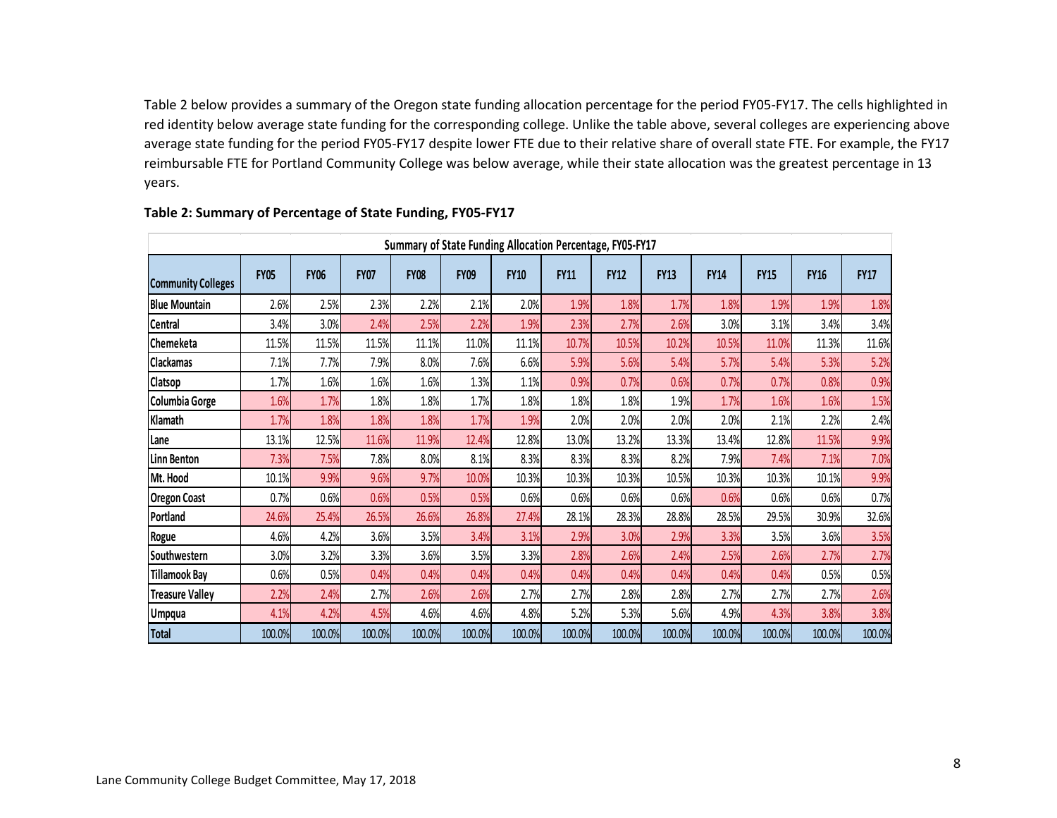Table 2 below provides a summary of the Oregon state funding allocation percentage for the period FY05-FY17. The cells highlighted in red identity below average state funding for the corresponding college. Unlike the table above, several colleges are experiencing above average state funding for the period FY05-FY17 despite lower FTE due to their relative share of overall state FTE. For example, the FY17 reimbursable FTE for Portland Community College was below average, while their state allocation was the greatest percentage in 13 years.

|                           |             |             |             |             |             |             | Summary of State Funding Allocation Percentage, FY05-FY17 |             |             |             |             |             |             |
|---------------------------|-------------|-------------|-------------|-------------|-------------|-------------|-----------------------------------------------------------|-------------|-------------|-------------|-------------|-------------|-------------|
| <b>Community Colleges</b> | <b>FY05</b> | <b>FY06</b> | <b>FY07</b> | <b>FY08</b> | <b>FY09</b> | <b>FY10</b> | <b>FY11</b>                                               | <b>FY12</b> | <b>FY13</b> | <b>FY14</b> | <b>FY15</b> | <b>FY16</b> | <b>FY17</b> |
| <b>Blue Mountain</b>      | 2.6%        | 2.5%        | 2.3%        | 2.2%        | 2.1%        | 2.0%        | 1.9%                                                      | 1.8%        | 1.7%        | 1.8%        | 1.9%        | 1.9%        | 1.8%        |
| Central                   | 3.4%        | 3.0%        | 2.4%        | 2.5%        | 2.2%        | 1.9%        | 2.3%                                                      | 2.7%        | 2.6%        | 3.0%        | 3.1%        | 3.4%        | 3.4%        |
| Chemeketa                 | 11.5%       | 11.5%       | 11.5%       | 11.1%       | 11.0%       | 11.1%       | 10.7%                                                     | 10.5%       | 10.2%       | 10.5%       | 11.0%       | 11.3%       | 11.6%       |
| <b>Clackamas</b>          | 7.1%        | 7.7%        | 7.9%        | 8.0%        | 7.6%        | 6.6%        | 5.9%                                                      | 5.6%        | 5.4%        | 5.7%        | 5.4%        | 5.3%        | 5.2%        |
| Clatsop                   | 1.7%        | 1.6%        | 1.6%        | 1.6%        | 1.3%        | 1.1%        | 0.9%                                                      | 0.7%        | 0.6%        | 0.7%        | 0.7%        | 0.8%        | 0.9%        |
| Columbia Gorge            | 1.6%        | 1.7%        | 1.8%        | 1.8%        | 1.7%        | 1.8%        | 1.8%                                                      | 1.8%        | 1.9%        | 1.7%        | 1.6%        | 1.6%        | 1.5%        |
| Klamath                   | 1.7%        | 1.8%        | 1.8%        | 1.8%        | 1.7%        | 1.9%        | 2.0%                                                      | 2.0%        | 2.0%        | 2.0%        | 2.1%        | 2.2%        | 2.4%        |
| Lane                      | 13.1%       | 12.5%       | 11.6%       | 11.9%       | 12.4%       | 12.8%       | 13.0%                                                     | 13.2%       | 13.3%       | 13.4%       | 12.8%       | 11.5%       | 9.9%        |
| Linn Benton               | 7.3%        | 7.5%        | 7.8%        | 8.0%        | 8.1%        | 8.3%        | 8.3%                                                      | 8.3%        | 8.2%        | 7.9%        | 7.4%        | 7.1%        | 7.0%        |
| Mt. Hood                  | 10.1%       | 9.9%        | 9.6%        | 9.7%        | 10.0%       | 10.3%       | 10.3%                                                     | 10.3%       | 10.5%       | 10.3%       | 10.3%       | 10.1%       | 9.9%        |
| <b>Oregon Coast</b>       | 0.7%        | 0.6%        | 0.6%        | 0.5%        | 0.5%        | 0.6%        | 0.6%                                                      | 0.6%        | 0.6%        | 0.6%        | 0.6%        | 0.6%        | 0.7%        |
| Portland                  | 24.6%       | 25.4%       | 26.5%       | 26.6%       | 26.8%       | 27.4%       | 28.1%                                                     | 28.3%       | 28.8%       | 28.5%       | 29.5%       | 30.9%       | 32.6%       |
| Rogue                     | 4.6%        | 4.2%        | 3.6%        | 3.5%        | 3.4%        | 3.1%        | 2.9%                                                      | 3.0%        | 2.9%        | 3.3%        | 3.5%        | 3.6%        | 3.5%        |
| Southwestern              | 3.0%        | 3.2%        | 3.3%        | 3.6%        | 3.5%        | 3.3%        | 2.8%                                                      | 2.6%        | 2.4%        | 2.5%        | 2.6%        | 2.7%        | 2.7%        |
| <b>Tillamook Bay</b>      | 0.6%        | 0.5%        | 0.4%        | 0.4%        | 0.4%        | 0.4%        | 0.4%                                                      | 0.4%        | 0.4%        | 0.4%        | 0.4%        | 0.5%        | 0.5%        |
| <b>Treasure Valley</b>    | 2.2%        | 2.4%        | 2.7%        | 2.6%        | 2.6%        | 2.7%        | 2.7%                                                      | 2.8%        | 2.8%        | 2.7%        | 2.7%        | 2.7%        | 2.6%        |
| <b>Umpqua</b>             | 4.1%        | 4.2%        | 4.5%        | 4.6%        | 4.6%        | 4.8%        | 5.2%                                                      | 5.3%        | 5.6%        | 4.9%        | 4.3%        | 3.8%        | 3.8%        |
| <b>Total</b>              | 100.0%      | 100.0%      | 100.0%      | 100.0%      | 100.0%      | 100.0%      | 100.0%                                                    | 100.0%      | 100.0%      | 100.0%      | 100.0%      | 100.0%      | 100.0%      |

### **Table 2: Summary of Percentage of State Funding, FY05-FY17**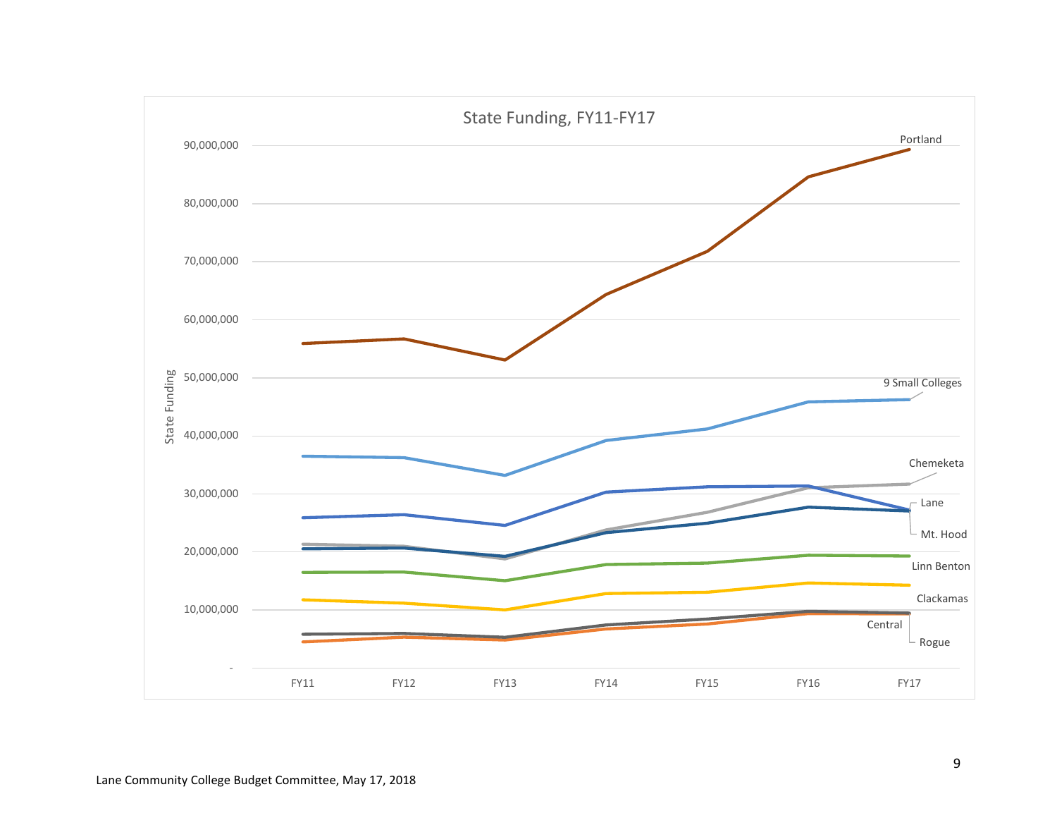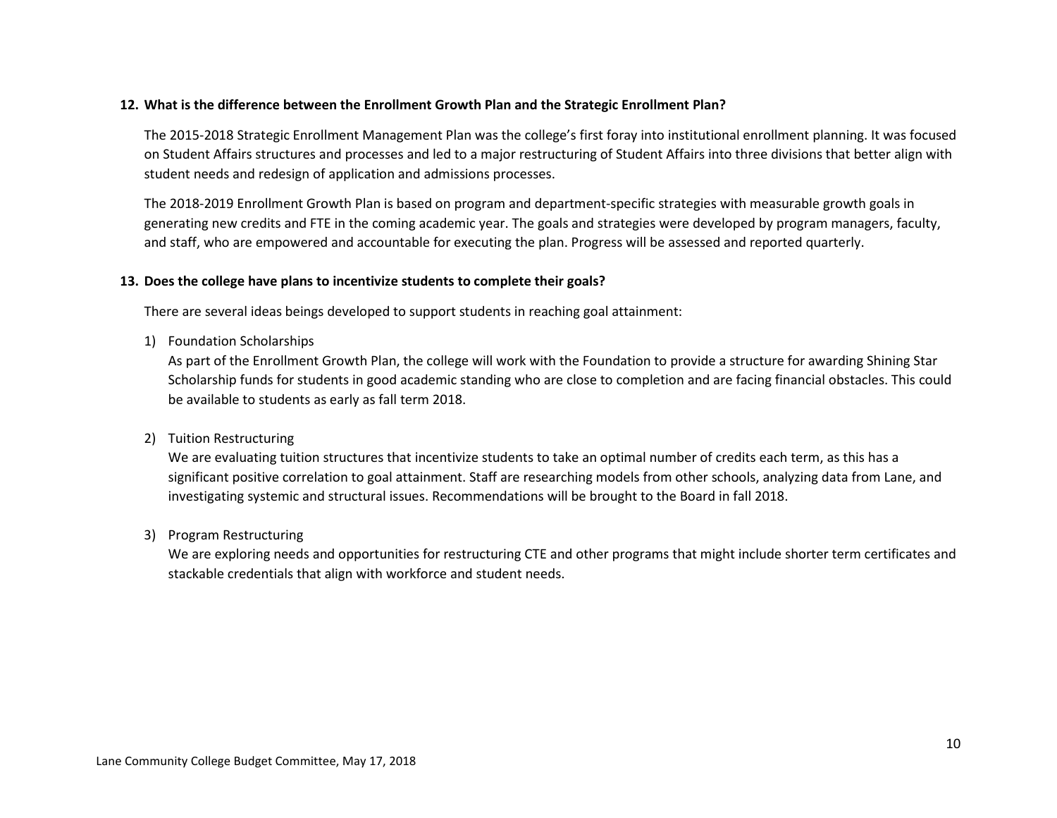## **12. What is the difference between the Enrollment Growth Plan and the Strategic Enrollment Plan?**

The 2015-2018 Strategic Enrollment Management Plan was the college's first foray into institutional enrollment planning. It was focused on Student Affairs structures and processes and led to a major restructuring of Student Affairs into three divisions that better align with student needs and redesign of application and admissions processes.

The 2018-2019 Enrollment Growth Plan is based on program and department-specific strategies with measurable growth goals in generating new credits and FTE in the coming academic year. The goals and strategies were developed by program managers, faculty, and staff, who are empowered and accountable for executing the plan. Progress will be assessed and reported quarterly.

### **13. Does the college have plans to incentivize students to complete their goals?**

There are several ideas beings developed to support students in reaching goal attainment:

1) Foundation Scholarships

As part of the Enrollment Growth Plan, the college will work with the Foundation to provide a structure for awarding Shining Star Scholarship funds for students in good academic standing who are close to completion and are facing financial obstacles. This could be available to students as early as fall term 2018.

2) Tuition Restructuring

We are evaluating tuition structures that incentivize students to take an optimal number of credits each term, as this has a significant positive correlation to goal attainment. Staff are researching models from other schools, analyzing data from Lane, and investigating systemic and structural issues. Recommendations will be brought to the Board in fall 2018.

3) Program Restructuring

We are exploring needs and opportunities for restructuring CTE and other programs that might include shorter term certificates and stackable credentials that align with workforce and student needs.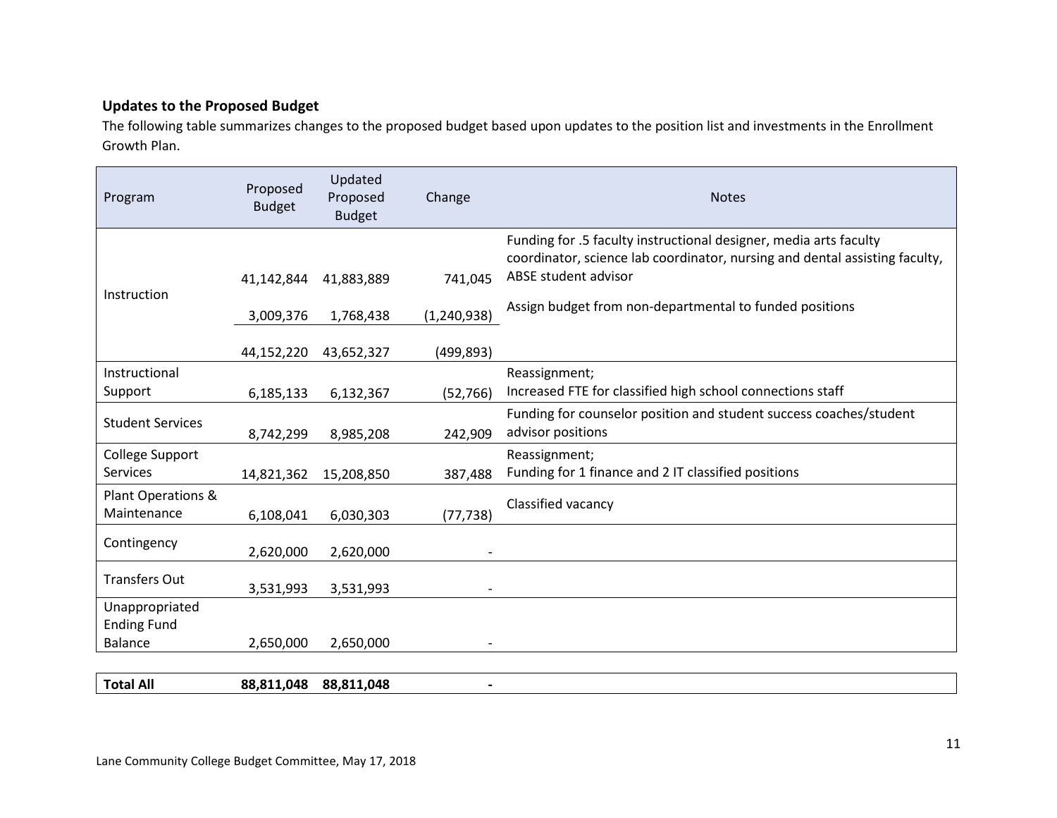## **Updates to the Proposed Budget**

The following table summarizes changes to the proposed budget based upon updates to the position list and investments in the Enrollment Growth Plan.

| Program                              | Proposed<br><b>Budget</b> | Updated<br>Proposed<br><b>Budget</b> | Change                   | <b>Notes</b>                                                                                                                                                             |
|--------------------------------------|---------------------------|--------------------------------------|--------------------------|--------------------------------------------------------------------------------------------------------------------------------------------------------------------------|
| Instruction                          | 41,142,844                | 41,883,889                           | 741,045                  | Funding for .5 faculty instructional designer, media arts faculty<br>coordinator, science lab coordinator, nursing and dental assisting faculty,<br>ABSE student advisor |
|                                      | 3,009,376                 | 1,768,438                            | (1, 240, 938)            | Assign budget from non-departmental to funded positions                                                                                                                  |
|                                      | 44,152,220                | 43,652,327                           | (499,893)                |                                                                                                                                                                          |
| Instructional                        |                           |                                      |                          | Reassignment;                                                                                                                                                            |
| Support                              | 6,185,133                 | 6,132,367                            | (52, 766)                | Increased FTE for classified high school connections staff                                                                                                               |
| <b>Student Services</b>              | 8,742,299                 | 8,985,208                            | 242,909                  | Funding for counselor position and student success coaches/student<br>advisor positions                                                                                  |
| College Support                      |                           |                                      |                          | Reassignment;                                                                                                                                                            |
| Services                             | 14,821,362                | 15,208,850                           | 387,488                  | Funding for 1 finance and 2 IT classified positions                                                                                                                      |
| Plant Operations &<br>Maintenance    | 6,108,041                 | 6,030,303                            | (77, 738)                | Classified vacancy                                                                                                                                                       |
| Contingency                          | 2,620,000                 | 2,620,000                            |                          |                                                                                                                                                                          |
| <b>Transfers Out</b>                 | 3,531,993                 | 3,531,993                            | $\overline{\phantom{a}}$ |                                                                                                                                                                          |
| Unappropriated<br><b>Ending Fund</b> |                           |                                      |                          |                                                                                                                                                                          |
| Balance                              | 2,650,000                 | 2,650,000                            |                          |                                                                                                                                                                          |
|                                      |                           |                                      |                          |                                                                                                                                                                          |
| <b>Total All</b>                     | 88,811,048                | 88,811,048                           |                          |                                                                                                                                                                          |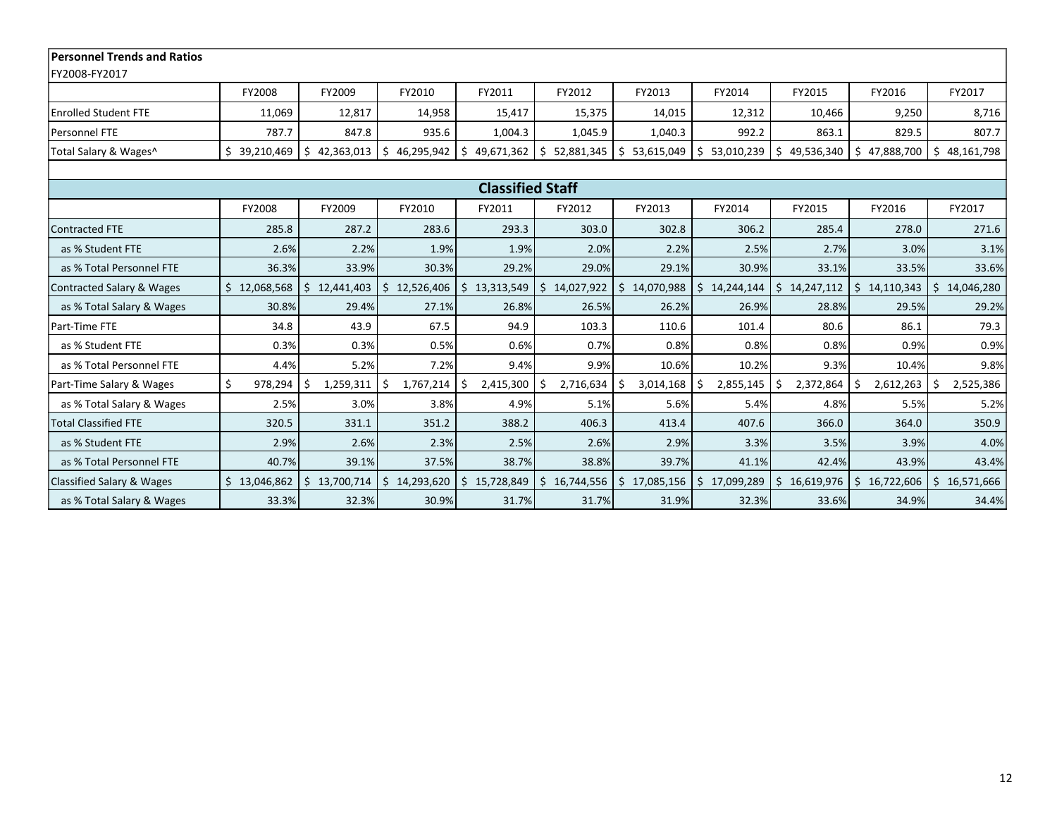| <b>Personnel Trends and Ratios</b>   |              |                  |                 |                      |                  |                  |              |                  |                  |                          |  |
|--------------------------------------|--------------|------------------|-----------------|----------------------|------------------|------------------|--------------|------------------|------------------|--------------------------|--|
| FY2008-FY2017                        |              |                  |                 |                      |                  |                  |              |                  |                  |                          |  |
|                                      | FY2008       | FY2009           | FY2010          | FY2011               | FY2012           | FY2013           | FY2014       | FY2015           | FY2016           | FY2017                   |  |
| <b>Enrolled Student FTE</b>          | 11,069       | 12,817           | 14,958          | 15,417               | 15,375           | 14,015           | 12,312       | 10,466           | 9,250            | 8,716                    |  |
| Personnel FTE                        | 787.7        | 847.8            | 935.6           | 1,004.3              | 1,045.9          | 1,040.3          | 992.2        | 863.1            | 829.5            | 807.7                    |  |
| Total Salary & Wages^                | \$39,210,469 | 42,363,013<br>S. | \$46,295,942    | 49,671,362 \$<br>Ŝ.  | 52,881,345       | \$53,615,049     | \$53,010,239 | 49,536,340<br>Ŝ. | Ŝ.<br>47,888,700 | \$48,161,798             |  |
|                                      |              |                  |                 |                      |                  |                  |              |                  |                  |                          |  |
| <b>Classified Staff</b>              |              |                  |                 |                      |                  |                  |              |                  |                  |                          |  |
|                                      | FY2008       | FY2009           | FY2010          | FY2011               | FY2012           | FY2013           | FY2014       | FY2015           | FY2016           | FY2017                   |  |
| Contracted FTE                       | 285.8        | 287.2            | 283.6           | 293.3                | 303.0            | 302.8            | 306.2        | 285.4            | 278.0            | 271.6                    |  |
| as % Student FTE                     | 2.6%         | 2.2%             | 1.9%            | 1.9%                 | 2.0%             | 2.2%             | 2.5%         | 2.7%             | 3.0%             | 3.1%                     |  |
| as % Total Personnel FTE             | 36.3%        | 33.9%            | 30.3%           | 29.2%                | 29.0%            | 29.1%            | 30.9%        | 33.1%            | 33.5%            | 33.6%                    |  |
| Contracted Salary & Wages            | \$12,068,568 | \$12,441,403     | \$12,526,406    | \$13,313,549         | Ŝ.<br>14,027,922 | Ŝ.<br>14,070,988 | \$14,244,144 | 14,247,112<br>Ŝ. | \$14,110,343     | $\frac{1}{2}$ 14,046,280 |  |
| as % Total Salary & Wages            | 30.8%        | 29.4%            | 27.1%           | 26.8%                | 26.5%            | 26.2%            | 26.9%        | 28.8%            | 29.5%            | 29.2%                    |  |
| Part-Time FTE                        | 34.8         | 43.9             | 67.5            | 94.9                 | 103.3            | 110.6            | 101.4        | 80.6             | 86.1             | 79.3                     |  |
| as % Student FTE                     | 0.3%         | 0.3%             | 0.5%            | 0.6%                 | 0.7%             | 0.8%             | 0.8%         | 0.8%             | 0.9%             | 0.9%                     |  |
| as % Total Personnel FTE             | 4.4%         | 5.2%             | 7.2%            | 9.4%                 | 9.9%             | 10.6%            | 10.2%        | 9.3%             | 10.4%            | 9.8%                     |  |
| Part-Time Salary & Wages             | Ś<br>978,294 | 1,259,311<br>Ŝ.  | \$<br>1,767,214 | $2,415,300$ \$<br>Ŝ. | 2,716,634        | 3,014,168<br>-S  | 2,855,145    | 2,372,864<br>S   | 2,612,263<br>S   | 2,525,386<br>S.          |  |
| as % Total Salary & Wages            | 2.5%         | 3.0%             | 3.8%            | 4.9%                 | 5.1%             | 5.6%             | 5.4%         | 4.8%             | 5.5%             | 5.2%                     |  |
| <b>Total Classified FTE</b>          | 320.5        | 331.1            | 351.2           | 388.2                | 406.3            | 413.4            | 407.6        | 366.0            | 364.0            | 350.9                    |  |
| as % Student FTE                     | 2.9%         | 2.6%             | 2.3%            | 2.5%                 | 2.6%             | 2.9%             | 3.3%         | 3.5%             | 3.9%             | 4.0%                     |  |
| as % Total Personnel FTE             | 40.7%        | 39.1%            | 37.5%           | 38.7%                | 38.8%            | 39.7%            | 41.1%        | 42.4%            | 43.9%            | 43.4%                    |  |
| <b>Classified Salary &amp; Wages</b> | \$13,046,862 | \$13,700,714     | \$14,293,620    | \$<br>15,728,849     | Ŝ.<br>16,744,556 | \$<br>17,085,156 | \$17,099,289 | Ś.<br>16,619,976 | Ŝ.<br>16,722,606 | \$16,571,666             |  |
| as % Total Salary & Wages            | 33.3%        | 32.3%            | 30.9%           | 31.7%                | 31.7%            | 31.9%            | 32.3%        | 33.6%            | 34.9%            | 34.4%                    |  |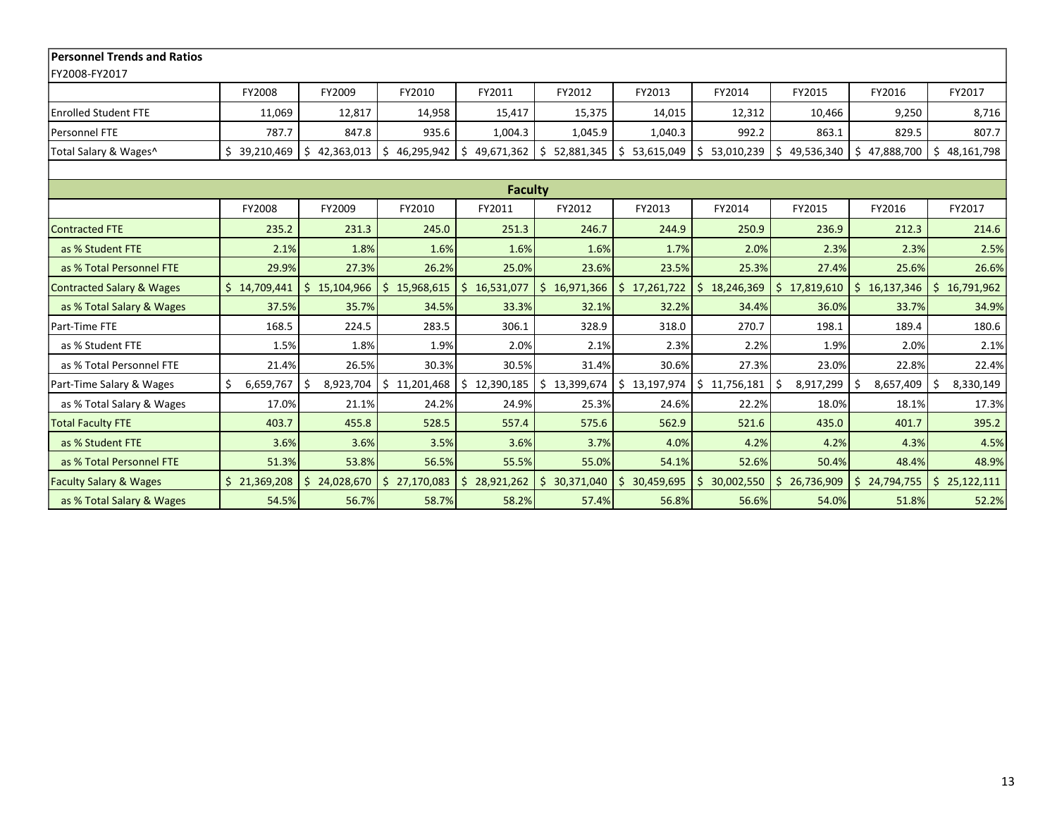| <b>Personnel Trends and Ratios</b>   |                |                  |              |                  |                  |                  |                  |                  |                  |                             |
|--------------------------------------|----------------|------------------|--------------|------------------|------------------|------------------|------------------|------------------|------------------|-----------------------------|
| FY2008-FY2017                        |                |                  |              |                  |                  |                  |                  |                  |                  |                             |
|                                      | FY2008         | FY2009           | FY2010       | FY2011           | FY2012           | FY2013           | FY2014           | FY2015           | FY2016           | FY2017                      |
| <b>Enrolled Student FTE</b>          | 11,069         | 12,817           | 14,958       | 15,417           | 15,375           | 14,015           | 12,312           | 10,466           | 9,250            | 8,716                       |
| Personnel FTE                        | 787.7          | 847.8            | 935.6        | 1,004.3          | 1,045.9          | 1,040.3          | 992.2            | 863.1            | 829.5            | 807.7                       |
| Total Salary & Wages^                | \$39,210,469   | 42,363,013<br>S. | \$46,295,942 | 49,671,362<br>Ŝ. | Ŝ.<br>52,881,345 | \$53,615,049     | S.<br>53,010,239 | 49,536,340<br>Ŝ. | 47,888,700<br>Ŝ. | \$48,161,798                |
|                                      |                |                  |              |                  |                  |                  |                  |                  |                  |                             |
|                                      |                |                  |              | <b>Faculty</b>   |                  |                  |                  |                  |                  |                             |
|                                      | FY2008         | FY2009           | FY2010       | FY2011           | FY2012           | FY2013           | FY2014           | FY2015           | FY2016           | FY2017                      |
| <b>Contracted FTE</b>                | 235.2          | 231.3            | 245.0        | 251.3            | 246.7            | 244.9            | 250.9            | 236.9            | 212.3            | 214.6                       |
| as % Student FTE                     | 2.1%           | 1.8%             | 1.6%         | 1.6%             | 1.6%             | 1.7%             | 2.0%             | 2.3%             | 2.3%             | 2.5%                        |
| as % Total Personnel FTE             | 29.9%          | 27.3%            | 26.2%        | 25.0%            | 23.6%            | 23.5%            | 25.3%            | 27.4%            | 25.6%            | 26.6%                       |
| <b>Contracted Salary &amp; Wages</b> | \$14,709,441   | \$15,104,966     | \$15,968,615 | Ś.<br>16,531,077 | Ś.<br>16,971,366 | \$17,261,722     | \$18,246,369     | \$17,819,610     |                  | $$16,137,346$ $$16,791,962$ |
| as % Total Salary & Wages            | 37.5%          | 35.7%            | 34.5%        | 33.3%            | 32.1%            | 32.2%            | 34.4%            | 36.0%            | 33.7%            | 34.9%                       |
| Part-Time FTE                        | 168.5          | 224.5            | 283.5        | 306.1            | 328.9            | 318.0            | 270.7            | 198.1            | 189.4            | 180.6                       |
| as % Student FTE                     | 1.5%           | 1.8%             | 1.9%         | 2.0%             | 2.1%             | 2.3%             | 2.2%             | 1.9%             | 2.0%             | 2.1%                        |
| as % Total Personnel FTE             | 21.4%          | 26.5%            | 30.3%        | 30.5%            | 31.4%            | 30.6%            | 27.3%            | 23.0%            | 22.8%            | 22.4%                       |
| Part-Time Salary & Wages             | 6,659,767<br>Ś | Ŝ.<br>8,923,704  | \$11,201,468 | \$12,390,185     | 13,399,674       | \$13,197,974     | \$11,756,181     | 8,917,299<br>S   | 8,657,409<br>Ŝ   | 8,330,149<br>\$.            |
| as % Total Salary & Wages            | 17.0%          | 21.1%            | 24.2%        | 24.9%            | 25.3%            | 24.6%            | 22.2%            | 18.0%            | 18.1%            | 17.3%                       |
| <b>Total Faculty FTE</b>             | 403.7          | 455.8            | 528.5        | 557.4            | 575.6            | 562.9            | 521.6            | 435.0            | 401.7            | 395.2                       |
| as % Student FTE                     | 3.6%           | 3.6%             | 3.5%         | 3.6%             | 3.7%             | 4.0%             | 4.2%             | 4.2%             | 4.3%             | 4.5%                        |
| as % Total Personnel FTE             | 51.3%          | 53.8%            | 56.5%        | 55.5%            | 55.0%            | 54.1%            | 52.6%            | 50.4%            | 48.4%            | 48.9%                       |
| <b>Faculty Salary &amp; Wages</b>    | \$21,369,208   | Ŝ.<br>24,028,670 | \$27,170,083 | 28,921,262<br>Ŝ. | Ŝ.<br>30,371,040 | Ŝ.<br>30,459,695 | 30,002,550       | Ś.<br>26,736,909 | Ŝ.<br>24,794,755 | $\frac{1}{2}$ 25,122,111    |
| as % Total Salary & Wages            | 54.5%          | 56.7%            | 58.7%        | 58.2%            | 57.4%            | 56.8%            | 56.6%            | 54.0%            | 51.8%            | 52.2%                       |